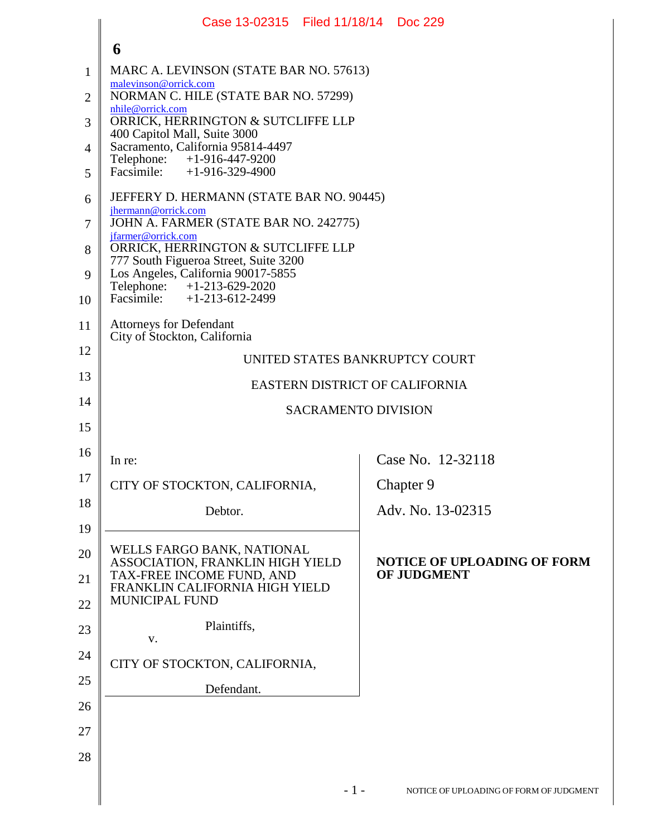|                | Case 13-02315   Filed 11/18/14   Doc 229                                          |                                         |  |  |
|----------------|-----------------------------------------------------------------------------------|-----------------------------------------|--|--|
|                | 6                                                                                 |                                         |  |  |
| 1              | MARC A. LEVINSON (STATE BAR NO. 57613)                                            |                                         |  |  |
| $\overline{2}$ | malevinson@orrick.com<br>NORMAN C. HILE (STATE BAR NO. 57299)<br>nhile@orrick.com |                                         |  |  |
| 3              | ORRICK, HERRINGTON & SUTCLIFFE LLP<br>400 Capitol Mall, Suite 3000                |                                         |  |  |
| $\overline{4}$ | Sacramento, California 95814-4497<br>Telephone:<br>$+1-916-447-9200$              |                                         |  |  |
| 5              | Facsimile: $+1-916-329-4900$                                                      |                                         |  |  |
| 6              | JEFFERY D. HERMANN (STATE BAR NO. 90445)                                          |                                         |  |  |
| 7              | jhermann@orrick.com<br>JOHN A. FARMER (STATE BAR NO. 242775)                      |                                         |  |  |
| 8              | jfarmer@orrick.com<br>ORRICK, HERRINGTON & SUTCLIFFE LLP                          |                                         |  |  |
| 9              | 777 South Figueroa Street, Suite 3200<br>Los Angeles, California 90017-5855       |                                         |  |  |
| 10             | Telephone: +1-213-629-2020<br>Facsimile: +1-213-612-2499                          |                                         |  |  |
| 11             | <b>Attorneys for Defendant</b><br>City of Stockton, California                    |                                         |  |  |
| 12             | UNITED STATES BANKRUPTCY COURT                                                    |                                         |  |  |
| 13             | <b>EASTERN DISTRICT OF CALIFORNIA</b>                                             |                                         |  |  |
| 14             |                                                                                   | <b>SACRAMENTO DIVISION</b>              |  |  |
| 15             |                                                                                   |                                         |  |  |
| 16             | In re:                                                                            | Case No. 12-32118                       |  |  |
| 17             | CITY OF STOCKTON, CALIFORNIA.                                                     | Chapter 9                               |  |  |
| 18             | Debtor.                                                                           | Adv. No. 13-02315                       |  |  |
| 19             |                                                                                   |                                         |  |  |
| 20             | WELLS FARGO BANK, NATIONAL<br>ASSOCIATION, FRANKLIN HIGH YIELD                    | <b>NOTICE OF UPLOADING OF FORM</b>      |  |  |
| 21             | TAX-FREE INCOME FUND, AND<br>FRANKLIN CALIFORNIA HIGH YIELD                       | OF JUDGMENT                             |  |  |
| 22             | <b>MUNICIPAL FUND</b>                                                             |                                         |  |  |
| 23             | Plaintiffs,<br>V.                                                                 |                                         |  |  |
| 24             | CITY OF STOCKTON, CALIFORNIA,                                                     |                                         |  |  |
| 25             | Defendant.                                                                        |                                         |  |  |
| 26             |                                                                                   |                                         |  |  |
| 27             |                                                                                   |                                         |  |  |
| 28             |                                                                                   |                                         |  |  |
|                | $-1-$                                                                             | NOTICE OF UPLOADING OF FORM OF JUDGMENT |  |  |
|                |                                                                                   |                                         |  |  |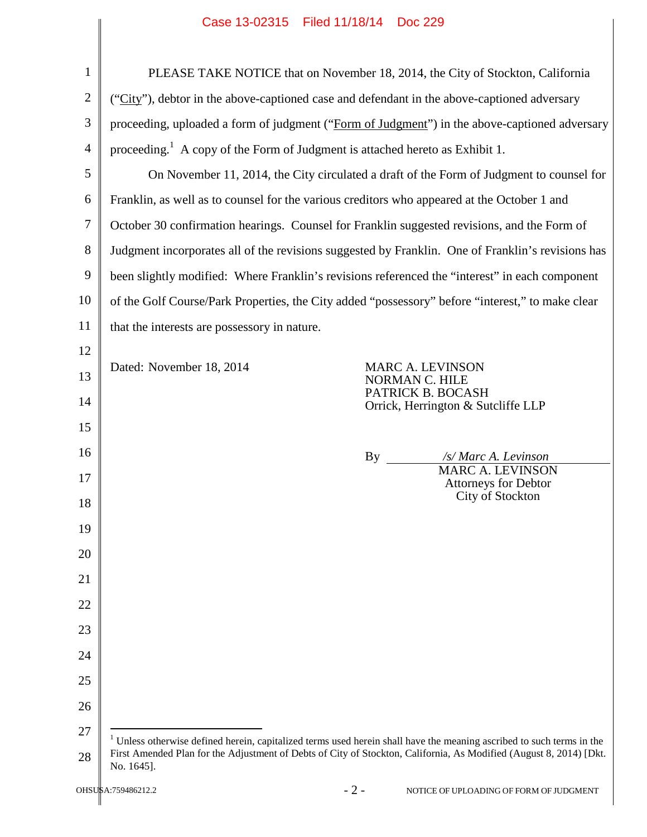| 1              |                                                                                                   | PLEASE TAKE NOTICE that on November 18, 2014, the City of Stockton, California                                                   |
|----------------|---------------------------------------------------------------------------------------------------|----------------------------------------------------------------------------------------------------------------------------------|
| $\overline{2}$ |                                                                                                   | ("City"), debtor in the above-captioned case and defendant in the above-captioned adversary                                      |
| 3              |                                                                                                   | proceeding, uploaded a form of judgment ("Form of Judgment") in the above-captioned adversary                                    |
| $\overline{4}$ | proceeding. <sup>1</sup> A copy of the Form of Judgment is attached hereto as Exhibit 1.          |                                                                                                                                  |
| 5              | On November 11, 2014, the City circulated a draft of the Form of Judgment to counsel for          |                                                                                                                                  |
| 6              | Franklin, as well as to counsel for the various creditors who appeared at the October 1 and       |                                                                                                                                  |
| $\overline{7}$ | October 30 confirmation hearings. Counsel for Franklin suggested revisions, and the Form of       |                                                                                                                                  |
| 8              | Judgment incorporates all of the revisions suggested by Franklin. One of Franklin's revisions has |                                                                                                                                  |
| 9              | been slightly modified: Where Franklin's revisions referenced the "interest" in each component    |                                                                                                                                  |
| 10             | of the Golf Course/Park Properties, the City added "possessory" before "interest," to make clear  |                                                                                                                                  |
| 11             | that the interests are possessory in nature.                                                      |                                                                                                                                  |
| 12             |                                                                                                   |                                                                                                                                  |
| 13             | Dated: November 18, 2014                                                                          | MARC A. LEVINSON<br>NORMAN C. HILE                                                                                               |
| 14             |                                                                                                   | PATRICK B. BOCASH<br>Orrick, Herrington & Sutcliffe LLP                                                                          |
| 15             |                                                                                                   |                                                                                                                                  |
| 16             |                                                                                                   | By<br>/s/ Marc A. Levinson<br><b>MARC A. LEVINSON</b>                                                                            |
| 17             |                                                                                                   | Attorneys for Debtor<br>City of Stockton                                                                                         |
| 18             |                                                                                                   |                                                                                                                                  |
| 19             |                                                                                                   |                                                                                                                                  |
| 20             |                                                                                                   |                                                                                                                                  |
| 21             |                                                                                                   |                                                                                                                                  |
| 22             |                                                                                                   |                                                                                                                                  |
| 23             |                                                                                                   |                                                                                                                                  |
| 24             |                                                                                                   |                                                                                                                                  |
| 25             |                                                                                                   |                                                                                                                                  |
| 26             |                                                                                                   |                                                                                                                                  |
| 27             |                                                                                                   | <sup>1</sup> Unless otherwise defined herein, capitalized terms used herein shall have the meaning ascribed to such terms in the |
| 28             | No. 1645].                                                                                        | First Amended Plan for the Adjustment of Debts of City of Stockton, California, As Modified (August 8, 2014) [Dkt.               |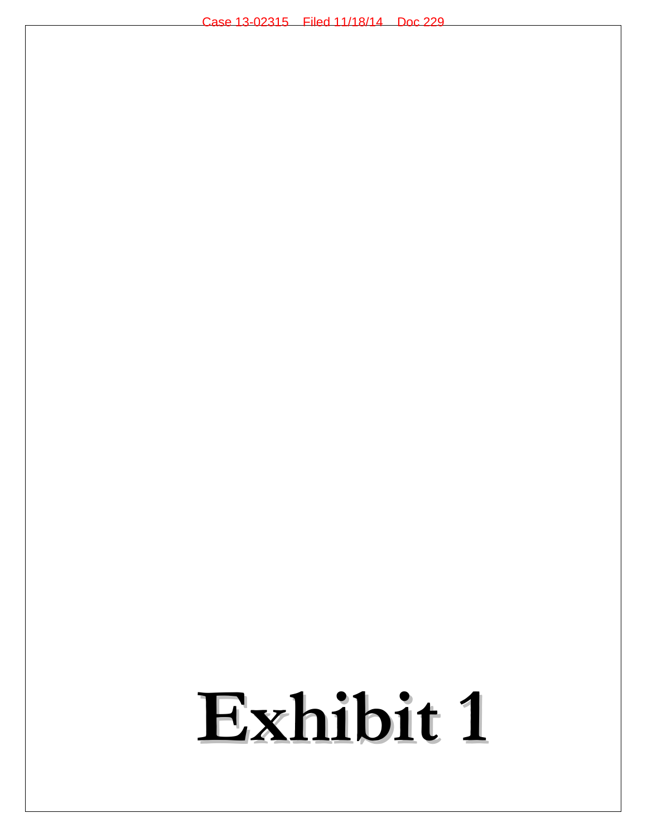## **Exhibit 1**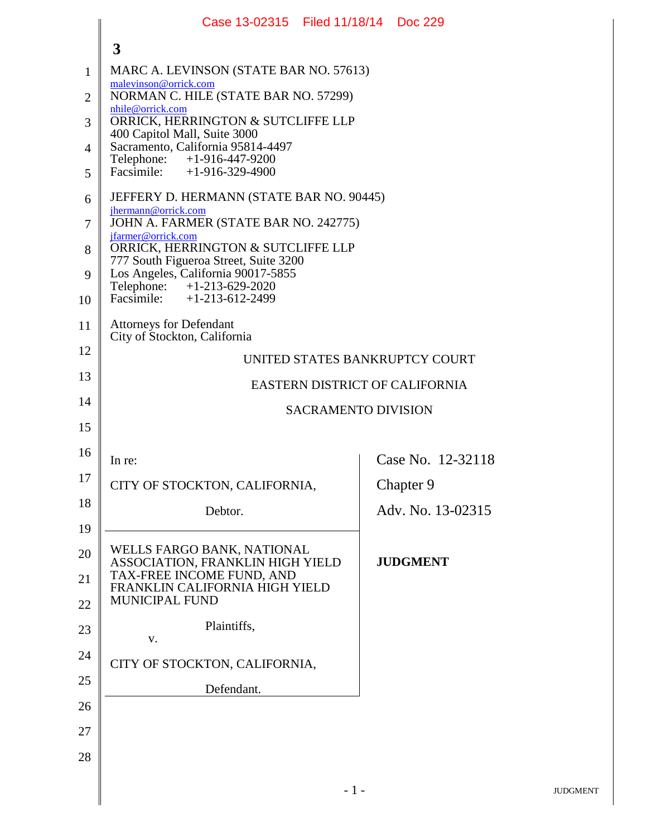|                | Case 13-02315   Filed 11/18/14   Doc 229                                                          |                   |  |  |
|----------------|---------------------------------------------------------------------------------------------------|-------------------|--|--|
|                | 3                                                                                                 |                   |  |  |
| $\mathbf{1}$   | MARC A. LEVINSON (STATE BAR NO. 57613)                                                            |                   |  |  |
| $\overline{2}$ | malevinson@orrick.com<br>NORMAN C. HILE (STATE BAR NO. 57299)                                     |                   |  |  |
| 3              | nhile@orrick.com<br>ORRICK, HERRINGTON & SUTCLIFFE LLP                                            |                   |  |  |
| $\overline{4}$ | 400 Capitol Mall, Suite 3000<br>Sacramento, California 95814-4497                                 |                   |  |  |
| 5              | Telephone: +1-916-447-9200<br>Facsimile: +1-916-329-4900                                          |                   |  |  |
| 6              | JEFFERY D. HERMANN (STATE BAR NO. 90445)                                                          |                   |  |  |
| 7              | jhermann@orrick.com<br>JOHN A. FARMER (STATE BAR NO. 242775)                                      |                   |  |  |
| 8              | jfarmer@orrick.com<br>ORRICK, HERRINGTON & SUTCLIFFE LLP<br>777 South Figueroa Street, Suite 3200 |                   |  |  |
| 9              | Los Angeles, California 90017-5855<br>Telephone: $+1-213-629-2020$                                |                   |  |  |
| 10             | Facsimile: $+1-213-612-2499$                                                                      |                   |  |  |
| 11             | <b>Attorneys for Defendant</b><br>City of Stockton, California                                    |                   |  |  |
| 12             | UNITED STATES BANKRUPTCY COURT                                                                    |                   |  |  |
| 13             | EASTERN DISTRICT OF CALIFORNIA                                                                    |                   |  |  |
| 14             | <b>SACRAMENTO DIVISION</b>                                                                        |                   |  |  |
|                |                                                                                                   |                   |  |  |
| 15             |                                                                                                   |                   |  |  |
| 16             | In re:                                                                                            | Case No. 12-32118 |  |  |
| 17             | CITY OF STOCKTON, CALIFORNIA,                                                                     | Chapter 9         |  |  |
| 18             | Debtor.                                                                                           | Adv. No. 13-02315 |  |  |
| 19             |                                                                                                   |                   |  |  |
| 20             | WELLS FARGO BANK, NATIONAL<br>ASSOCIATION, FRANKLIN HIGH YIELD                                    | <b>JUDGMENT</b>   |  |  |
| 21             | TAX-FREE INCOME FUND, AND<br>FRANKLIN CALIFORNIA HIGH YIELD                                       |                   |  |  |
| 22             | <b>MUNICIPAL FUND</b>                                                                             |                   |  |  |
| 23             | Plaintiffs,<br>V.                                                                                 |                   |  |  |
| 24             | CITY OF STOCKTON, CALIFORNIA,                                                                     |                   |  |  |
| 25             | Defendant.                                                                                        |                   |  |  |
| 26             |                                                                                                   |                   |  |  |
| 27             |                                                                                                   |                   |  |  |
| 28             |                                                                                                   |                   |  |  |

I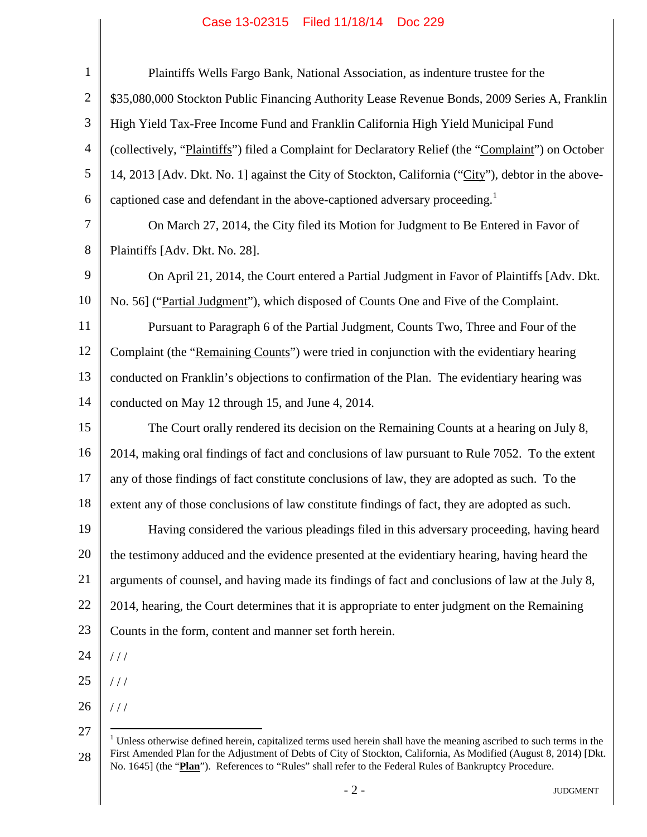## Case 13-02315 Filed 11/18/14 Doc 229

| $\mathbf{1}$   | Plaintiffs Wells Fargo Bank, National Association, as indenture trustee for the                                                  |
|----------------|----------------------------------------------------------------------------------------------------------------------------------|
| $\mathfrak{2}$ | \$35,080,000 Stockton Public Financing Authority Lease Revenue Bonds, 2009 Series A, Franklin                                    |
| 3              | High Yield Tax-Free Income Fund and Franklin California High Yield Municipal Fund                                                |
| $\overline{4}$ | (collectively, "Plaintiffs") filed a Complaint for Declaratory Relief (the "Complaint") on October                               |
| 5              | 14, 2013 [Adv. Dkt. No. 1] against the City of Stockton, California ("City"), debtor in the above-                               |
| 6              | captioned case and defendant in the above-captioned adversary proceeding. <sup>1</sup>                                           |
| $\overline{7}$ | On March 27, 2014, the City filed its Motion for Judgment to Be Entered in Favor of                                              |
| 8              | Plaintiffs [Adv. Dkt. No. 28].                                                                                                   |
| 9              | On April 21, 2014, the Court entered a Partial Judgment in Favor of Plaintiffs [Adv. Dkt.                                        |
| 10             | No. 56] ("Partial Judgment"), which disposed of Counts One and Five of the Complaint.                                            |
| 11             | Pursuant to Paragraph 6 of the Partial Judgment, Counts Two, Three and Four of the                                               |
| 12             | Complaint (the "Remaining Counts") were tried in conjunction with the evidentiary hearing                                        |
| 13             | conducted on Franklin's objections to confirmation of the Plan. The evidentiary hearing was                                      |
| 14             | conducted on May 12 through 15, and June 4, 2014.                                                                                |
| 15             | The Court orally rendered its decision on the Remaining Counts at a hearing on July 8,                                           |
| 16             | 2014, making oral findings of fact and conclusions of law pursuant to Rule 7052. To the extent                                   |
| 17             | any of those findings of fact constitute conclusions of law, they are adopted as such. To the                                    |
| 18             | extent any of those conclusions of law constitute findings of fact, they are adopted as such.                                    |
| 19             | Having considered the various pleadings filed in this adversary proceeding, having heard                                         |
| 20             | the testimony adduced and the evidence presented at the evidentiary hearing, having heard the                                    |
| 21             | arguments of counsel, and having made its findings of fact and conclusions of law at the July 8,                                 |
| 22             | 2014, hearing, the Court determines that it is appropriate to enter judgment on the Remaining                                    |
| 23             | Counts in the form, content and manner set forth herein.                                                                         |
| 24             | //                                                                                                                               |
| 25             | //                                                                                                                               |
| 26             | //                                                                                                                               |
| 27             | <sup>1</sup> Unless otherwise defined herein, capitalized terms used herein shall have the meaning ascribed to such terms in the |
| 28             | First Amended Plan for the Adjustment of Debts of City of Stockton, California, As Modified (August 8, 2014) [Dkt.               |

No. 1645] (the "**Plan**"). References to "Rules" shall refer to the Federal Rules of Bankruptcy Procedure.